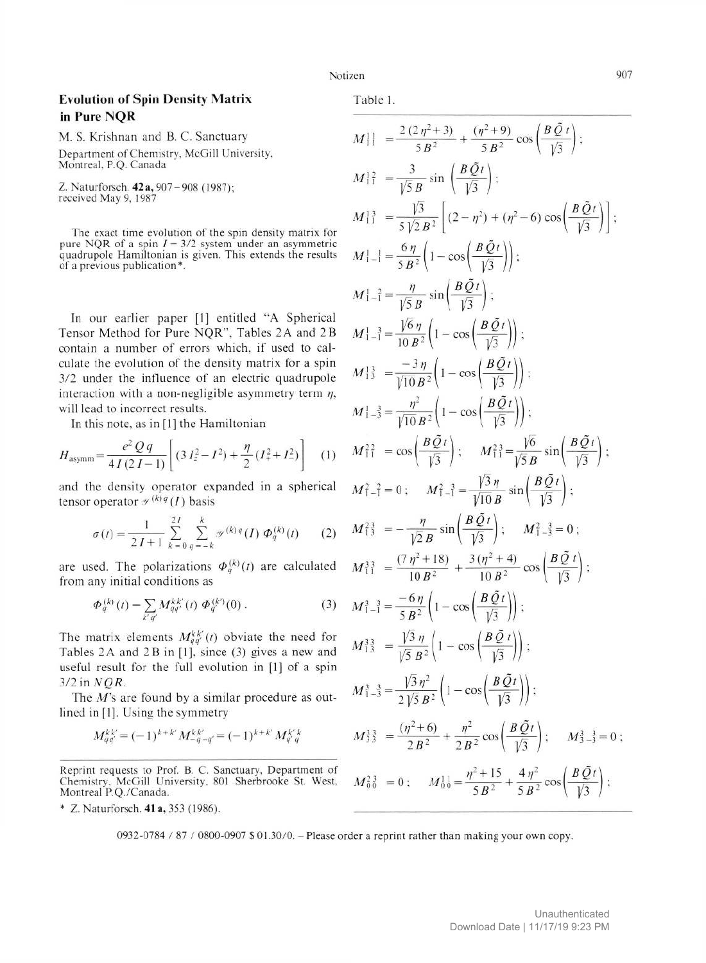## **Evolution of Spin Density Matrix** in Pure NOR

M. S. Krishnan and B. C. Sanctuary Department of Chemistry, McGill University, Montreal, P.Q. Canada

Z. Naturforsch. 42 a, 907-908 (1987); received May 9, 1987

The exact time evolution of the spin density matrix for pure NQR of a spin  $I = 3/2$  system under an asymmetric quadrupole Hamiltonian is given. This extends the results of a previous publication\*.

In our earlier paper [1] entitled "A Spherical Tensor Method for Pure NQR", Tables 2A and 2B contain a number of errors which, if used to calculate the evolution of the density matrix for a spin 3/2 under the influence of an electric quadrupole interaction with a non-negligible asymmetry term  $\eta$ , will lead to incorrect results.

In this note, as in [1] the Hamiltonian

$$
H_{\text{asymm}} = \frac{e^2 Q q}{4 I (2 I - 1)} \left[ (3 I_z^2 - I^2) + \frac{\eta}{2} (I_+^2 + I_-^2) \right] \tag{1}
$$

and the density operator expanded in a spherical tensor operator  $\mathcal{P}^{(k)q}(I)$  basis

$$
\sigma(t) = \frac{1}{2I+1} \sum_{k=0}^{2I} \sum_{q=-k}^{k} \mathcal{J}^{(k)q}(I) \Phi_q^{(k)}(t) \qquad (2)
$$

are used. The polarizations  $\Phi_q^{(k)}(t)$  are calculated from any initial conditions as

$$
\Phi_q^{(k)}(t) = \sum_{k'q'} M_{qq'}^{k'}
$$
 (t)  $\Phi_q^{(k')}(0)$ . (3)

The matrix elements  $M_{qq'}^{kk'}(t)$  obviate the need for Tables 2A and 2B in [1], since (3) gives a new and useful result for the full evolution in [1] of a spin  $3/2$  in  $NQR$ .

The  $M$ 's are found by a similar procedure as outlined in [1]. Using the symmetry

$$
M_{qq'}^{kk'} = (-1)^{k+k'} M_{-q-q'}^{kk'} = (-1)^{k+k'} M_{q'q}^{k'k}
$$

Reprint requests to Prof. B. C. Sanctuary, Department of Chemistry, McGill University, 801 Sherbrooke St. West, Montreal P.Q./Canada.

\* Z. Naturforsch. 41 a, 353 (1986).

Table 1.

$$
M \left| \right| = \frac{2(2\eta^2 + 3)}{5B^2} + \frac{(\eta^2 + 9)}{5B^2} \cos\left(\frac{B\tilde{Q}t}{\sqrt{3}}\right);
$$
  
\n
$$
M \left| \right|_1^2 = \frac{3}{\sqrt{5}B} \sin\left(\frac{B\tilde{Q}t}{\sqrt{3}}\right);
$$
  
\n
$$
M \left| \right|_1^3 = \frac{\sqrt{3}}{5\sqrt{2}B^2} \left[ (2 - \eta^2) + (\eta^2 - 6) \cos\left(\frac{B\tilde{Q}t}{\sqrt{3}}\right) \right];
$$
  
\n
$$
M \left|_{-1}^1 = \frac{6\eta}{5B^2} \left( 1 - \cos\left(\frac{B\tilde{Q}t}{\sqrt{3}}\right) \right);
$$
  
\n
$$
M \left|_{-1}^1 = \frac{\eta}{\sqrt{5}B} \sin\left(\frac{B\tilde{Q}t}{\sqrt{3}}\right) \right];
$$
  
\n
$$
M \left|_{-1}^1 = \frac{\sqrt{6}\eta}{10B^2} \left( 1 - \cos\left(\frac{B\tilde{Q}t}{\sqrt{3}}\right) \right);
$$
  
\n
$$
M \left|_{-3}^1 = \frac{-3\eta}{\sqrt{10}B^2} \left( 1 - \cos\left(\frac{B\tilde{Q}t}{\sqrt{3}}\right) \right);
$$
  
\n
$$
M \left|_{-3}^1 = \frac{\eta^2}{\sqrt{10}B^2} \left( 1 - \cos\left(\frac{B\tilde{Q}t}{\sqrt{3}}\right) \right);
$$
  
\n
$$
M_{1}^2 = \cos\left(\frac{B\tilde{Q}t}{\sqrt{3}}\right);
$$
  
\n
$$
M_{1}^2 = \cos\left(\frac{B\tilde{Q}t}{\sqrt{3}}\right);
$$
  
\n
$$
M_{1}^2 = 0; \quad M_{1}^2 = \frac{\sqrt{3}\eta}{\sqrt{10}B} \sin\left(\frac{B\tilde{Q}t}{\sqrt{3}}\right);
$$
  
\n
$$
M_{1}^2 = -\frac{\eta}{\sqrt{2}B} \sin\
$$

0932-0784 / 87 / 0800-0907 \$ 01.30/0. - Please order a reprint rather than making your own copy.